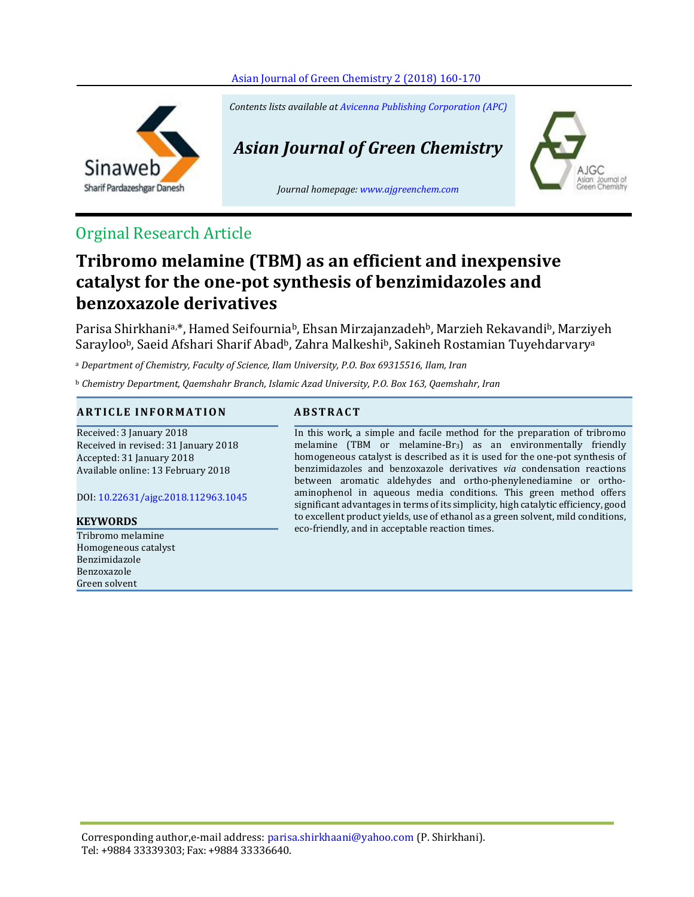



*Contents lists available at [Avicenna Publishing Corporation \(APC\)](http://www.avicenna.pub/)*

# *Asian Journal of Green Chemistry*

*Journal homepage: [www.ajgreenchem.com](http://www.ajgreenchem.com/)*



## Orginal Research Article

# **Tribromo melamine (TBM) as an efficient and inexpensive catalyst for the one-pot synthesis of benzimidazoles and benzoxazole derivatives**

Parisa Shirkhani<sup>a,\*</sup>, Hamed Seifournia<sup>b</sup>, Ehsan Mirzajanzadeh<sup>b</sup>, Marzieh Rekavandi<sup>b</sup>, Marziyeh Sarayloo<sup>b</sup>, Saeid Afshari Sharif Abad<sup>b</sup>, Zahra Malkeshi<sup>b</sup>, Sakineh Rostamian Tuyehdarvary<sup>a</sup>

<sup>a</sup> *Department of Chemistry, Faculty of Science, Ilam University, P.O. Box 69315516, Ilam, Iran*

<sup>b</sup> *Chemistry Department, Qaemshahr Branch, Islamic Azad University, P.O. Box 163, Qaemshahr, Iran*

### **A R T I C L E I N F O RM A T I O N A B S T R A C T**

Received: 3 January 2018 Received in revised: 31 January 2018 Accepted: 31 January 2018 Available online: 13 February 2018

DOI: [10.22631/ajgc.2018.112963.1045](http://www.ajgreenchem.com/article_57683.html)

Tribromo melamine Homogeneous catalyst Benzimidazole Benzoxazole Green solvent

In this work, a simple and facile method for the preparation of tribromo melamine (TBM or melamine-Br<sub>3</sub>) as an environmentally friendly homogeneous catalyst is described as it is used for the one-pot synthesis of benzimidazoles and benzoxazole derivatives *via* condensation reactions between aromatic aldehydes and ortho‐phenylenediamine or ortho‐ aminophenol in aqueous media conditions. This green method offers significant advantages in terms of its simplicity, high catalytic efficiency, good to excellent product yields, use of ethanol as a green solvent, mild conditions, eco-friendly, and in acceptable reaction times. **KEYWORDS**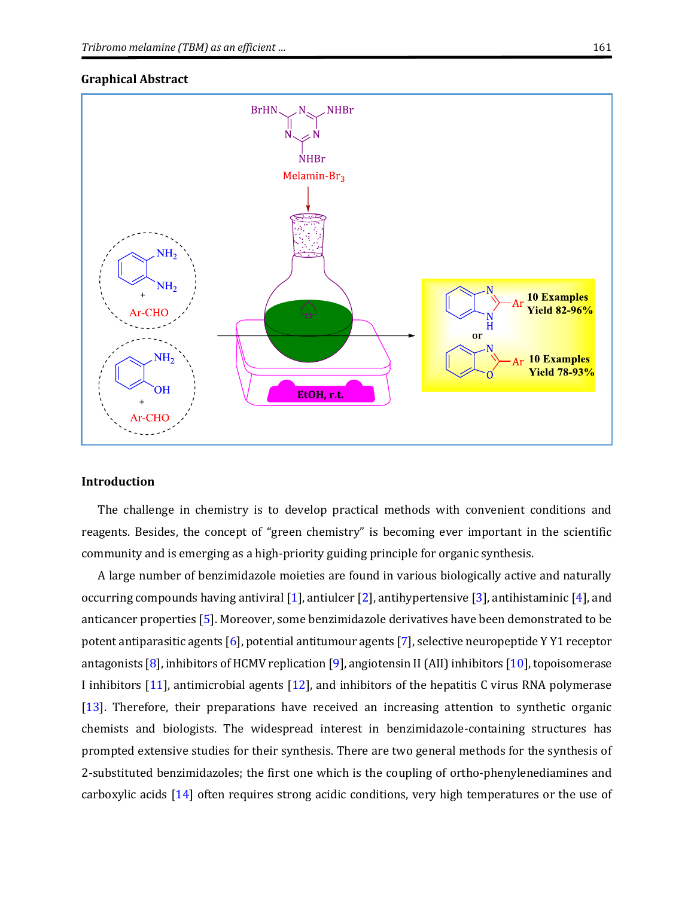# **BrHN NHBr NHBr** Melamin-Br<sub>3</sub>  $\rm{NH_2}$  $\mathrm{NH}_2$ **10 Examples Yield 82-96%** Ar-CHO

<sub>or</sub>

**10 Examples Yield 78-93%** 

#### **Graphical Abstract**

#### **Introduction**

 $NH<sub>2</sub>$ 

**OH** 

Ar-CHO

The challenge in chemistry is to develop practical methods with convenient conditions and reagents. Besides, the concept of "green chemistry" is becoming ever important in the scientific community and is emerging as a high-priority guiding principle for organic synthesis.

EtOH, r.t.

A large number of benzimidazole moieties are found in various biologically active and naturally occurring compounds having antiviral [\[1\]](#page-9-0), antiulcer [\[2\]](#page-9-1), antihypertensive [\[3\]](#page-9-2), antihistaminic [\[4\]](#page-9-3), and anticancer properties [\[5\]](#page-9-4). Moreover, some benzimidazole derivatives have been demonstrated to be potent antiparasitic agents [\[6\]](#page-9-5), potential antitumour agents [\[7\]](#page-9-6), selective neuropeptide Y Y1 receptor antagonists [\[8\]](#page-9-7), inhibitors of HCMV replication [\[9\]](#page-9-8), angiotensin II (AII) inhibitors [\[10\]](#page-9-9), topoisomerase I inhibitors [\[11\]](#page-9-10), antimicrobial agents [\[12\]](#page-9-11), and inhibitors of the hepatitis C virus RNA polymerase [\[13\]](#page-9-12). Therefore, their preparations have received an increasing attention to synthetic organic chemists and biologists. The widespread interest in benzimidazole-containing structures has prompted extensive studies for their synthesis. There are two general methods for the synthesis of 2-substituted benzimidazoles; the first one which is the coupling of ortho‐phenylenediamines and carboxylic acids [\[14\]](#page-9-13) often requires strong acidic conditions, very high temperatures or the use of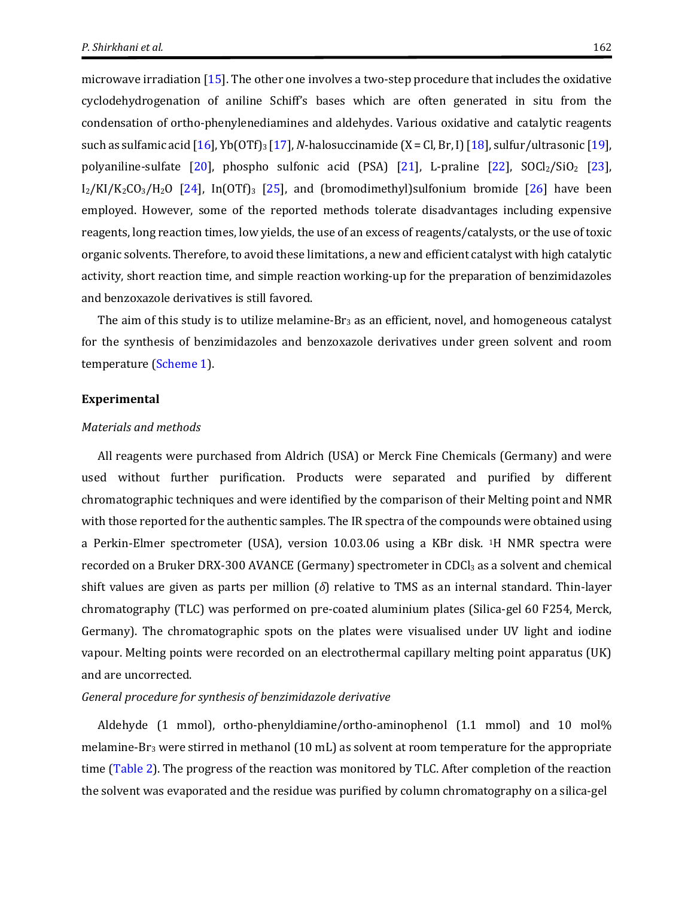microwave irradiation [\[15\]](#page-9-14). The other one involves a two-step procedure that includes the oxidative cyclodehydrogenation of aniline Schiff's bases which are often generated in situ from the condensation of ortho‐phenylenediamines and aldehydes. Various oxidative and catalytic reagents such as sulfamic acid [\[16\]](#page-9-15), Yb(OTf)<sup>3</sup> [\[17\]](#page-9-16), *N*-halosuccinamide (X = Cl, Br, I) [\[18\]](#page-9-17), sulfur/ultrasonic [\[19\]](#page-9-18), polyaniline-sulfate [\[20\]](#page-9-19), phospho sulfonic acid (PSA) [\[21\]](#page-9-20), L-praline [\[22\]](#page-9-21),  $SOCl<sub>2</sub>/SiO<sub>2</sub>$  [\[23\]](#page-10-0),  $I_2/KI/K_2CO_3/H_2O$  [\[24\]](#page-10-1), In(OTf)<sub>3</sub> [\[25\]](#page-10-2), and (bromodimethyl)sulfonium bromide [\[26\]](#page-10-3) have been employed. However, some of the reported methods tolerate disadvantages including expensive reagents, long reaction times, low yields, the use of an excess of reagents/catalysts, or the use of toxic organic solvents. Therefore, to avoid these limitations, a new and efficient catalyst with high catalytic activity, short reaction time, and simple reaction working-up for the preparation of benzimidazoles and benzoxazole derivatives is still favored.

The aim of this study is to utilize melamine- $Br_3$  as an efficient, novel, and homogeneous catalyst for the synthesis of benzimidazoles and benzoxazole derivatives under green solvent and room temperature [\(Scheme 1\)](#page-3-0).

#### **Experimental**

#### *Materials and methods*

All reagents were purchased from Aldrich (USA) or Merck Fine Chemicals (Germany) and were used without further purification. Products were separated and purified by different chromatographic techniques and were identified by the comparison of their Melting point and NMR with those reported for the authentic samples. The IR spectra of the compounds were obtained using a Perkin-Elmer spectrometer (USA), version 10.03.06 using a KBr disk. 1H NMR spectra were recorded on a Bruker DRX-300 AVANCE (Germany) spectrometer in CDCl<sub>3</sub> as a solvent and chemical shift values are given as parts per million (*δ*) relative to TMS as an internal standard. Thin-layer chromatography (TLC) was performed on pre-coated aluminium plates (Silica-gel 60 F254, Merck, Germany). The chromatographic spots on the plates were visualised under UV light and iodine vapour. Melting points were recorded on an electrothermal capillary melting point apparatus (UK) and are uncorrected.

#### *General procedure for synthesis of benzimidazole derivative*

Aldehyde (1 mmol), ortho-phenyldiamine/ortho‐aminophenol (1.1 mmol) and 10 mol% melamine-Br<sub>3</sub> were stirred in methanol (10 mL) as solvent at room temperature for the appropriate time [\(Table 2\)](#page-5-0). The progress of the reaction was monitored by TLC. After completion of the reaction the solvent was evaporated and the residue was purified by column chromatography on a silica-gel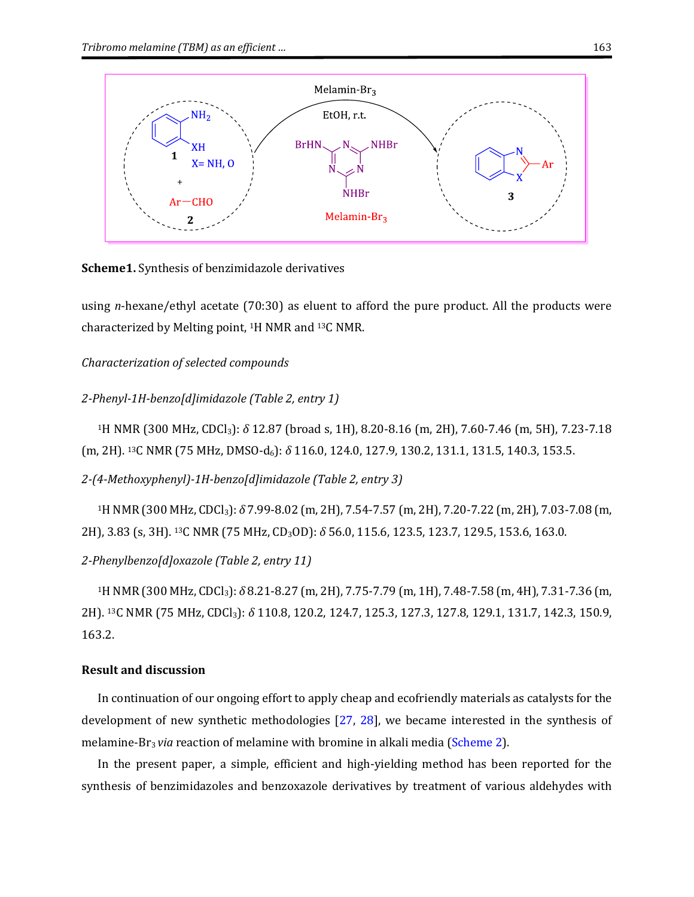

<span id="page-3-0"></span>**Scheme1.** Synthesis of benzimidazole derivatives

using *n*-hexane/ethyl acetate (70:30) as eluent to afford the pure product. All the products were characterized by Melting point, 1H NMR and 13C NMR.

*Characterization of selected compounds*

```
2-Phenyl-1H-benzo[d]imidazole (Table 2, entry 1)
```
<sup>1</sup>H NMR (300 MHz, CDCl3): *δ* 12.87 (broad s, 1H), 8.20-8.16 (m, 2H), 7.60-7.46 (m, 5H), 7.23-7.18 (m, 2H). 13C NMR (75 MHz, DMSO-d6): *δ* 116.0, 124.0, 127.9, 130.2, 131.1, 131.5, 140.3, 153.5.

*2-(4-Methoxyphenyl)-1H-benzo[d]imidazole (Table 2, entry 3)*

<sup>1</sup>H NMR (300 MHz, CDCl3): *δ* 7.99-8.02 (m, 2H), 7.54-7.57 (m, 2H), 7.20-7.22 (m, 2H), 7.03-7.08 (m, 2H), 3.83 (s, 3H). 13C NMR (75 MHz, CD3OD): *δ* 56.0, 115.6, 123.5, 123.7, 129.5, 153.6, 163.0.

*2-Phenylbenzo[d]oxazole (Table 2, entry 11)*

<sup>1</sup>H NMR (300 MHz, CDCl3): *δ* 8.21-8.27 (m, 2H), 7.75-7.79 (m, 1H), 7.48-7.58 (m, 4H), 7.31-7.36 (m, 2H). 13C NMR (75 MHz, CDCl3): *δ* 110.8, 120.2, 124.7, 125.3, 127.3, 127.8, 129.1, 131.7, 142.3, 150.9, 163.2.

## **Result and discussion**

In continuation of our ongoing effort to apply cheap and ecofriendly materials as catalysts for the development of new synthetic methodologies [\[27,](#page-10-4) [28\]](#page-10-5), we became interested in the synthesis of melamine-Br<sub>3</sub> *via* reaction of melamine with bromine in alkali media [\(Scheme 2\)](#page-4-0).

In the present paper, a simple, efficient and high-yielding method has been reported for the synthesis of benzimidazoles and benzoxazole derivatives by treatment of various aldehydes with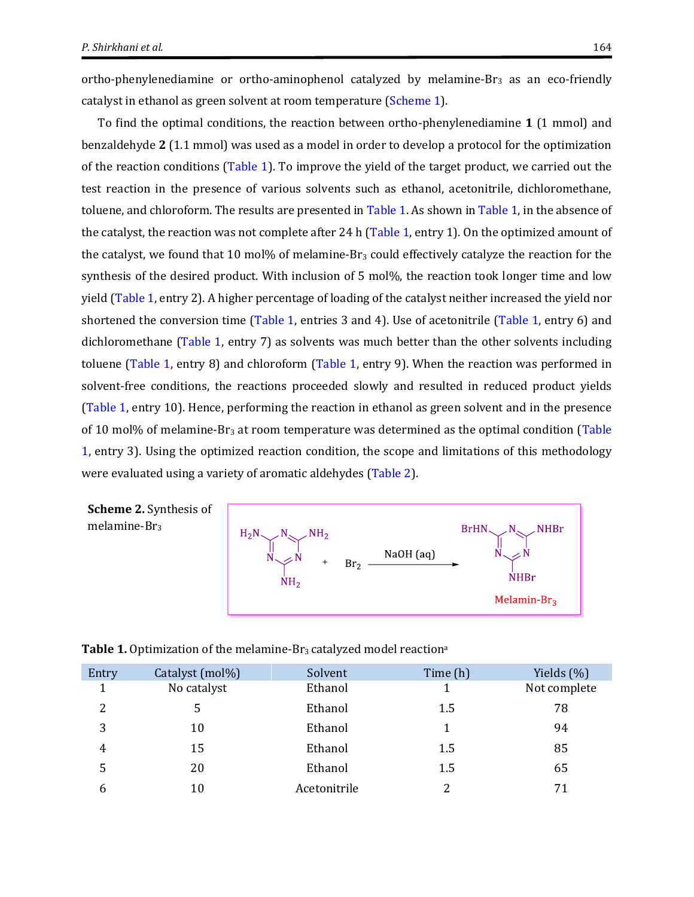ortho‐phenylenediamine or ortho‐aminophenol catalyzed by melamine‐Br<sup>3</sup> as an eco-friendly catalyst in ethanol as green solvent at room temperature [\(Scheme 1\)](#page-3-0).

To find the optimal conditions, the reaction between ortho‐phenylenediamine **1** (1 mmol) and benzaldehyde **2** (1.1 mmol) was used as a model in order to develop a protocol for the optimization of the reaction conditions [\(Table 1\)](#page-4-1). To improve the yield of the target product, we carried out the test reaction in the presence of various solvents such as ethanol, acetonitrile, dichloromethane, toluene, and chloroform. The results are presented i[n Table 1.](#page-4-1) As shown i[n Table 1,](#page-4-1) in the absence of the catalyst, the reaction was not complete after 24 h [\(Table 1,](#page-4-1) entry 1). On the optimized amount of the catalyst, we found that 10 mol% of melamine- $Br<sub>3</sub>$  could effectively catalyze the reaction for the synthesis of the desired product. With inclusion of 5 mol%, the reaction took longer time and low yield [\(Table 1,](#page-4-1) entry 2). A higher percentage of loading of the catalyst neither increased the yield nor shortened the conversion time [\(Table 1,](#page-4-1) entries 3 and 4). Use of acetonitrile [\(Table 1,](#page-4-1) entry 6) and dichloromethane [\(Table 1,](#page-4-1) entry 7) as solvents was much better than the other solvents including toluene [\(Table 1,](#page-4-1) entry 8) and chloroform [\(Table 1,](#page-4-1) entry 9). When the reaction was performed in solvent-free conditions, the reactions proceeded slowly and resulted in reduced product yields [\(Table 1,](#page-4-1) entry 10). Hence, performing the reaction in ethanol as green solvent and in the presence of 10 mol% of melamine- $Br_3$  at room temperature was determined as the optimal condition (Table [1,](#page-4-1) entry 3). Using the optimized reaction condition, the scope and limitations of this methodology were evaluated using a variety of aromatic aldehydes [\(Table 2\)](#page-5-0).

<span id="page-4-0"></span>



<span id="page-4-1"></span>**Table 1.** Optimization of the melamine-Br<sub>3</sub> catalyzed model reaction<sup>a</sup>

| Entry          | Catalyst (mol%) | Solvent      | Time (h) | Yields $(\%)$ |
|----------------|-----------------|--------------|----------|---------------|
| 1              | No catalyst     | Ethanol      |          | Not complete  |
| $\overline{2}$ |                 | Ethanol      | 1.5      | 78            |
| 3              | 10              | Ethanol      |          | 94            |
| 4              | 15              | Ethanol      | 1.5      | 85            |
| 5              | 20              | Ethanol      | 1.5      | 65            |
| 6              | 10              | Acetonitrile | າ        | 71            |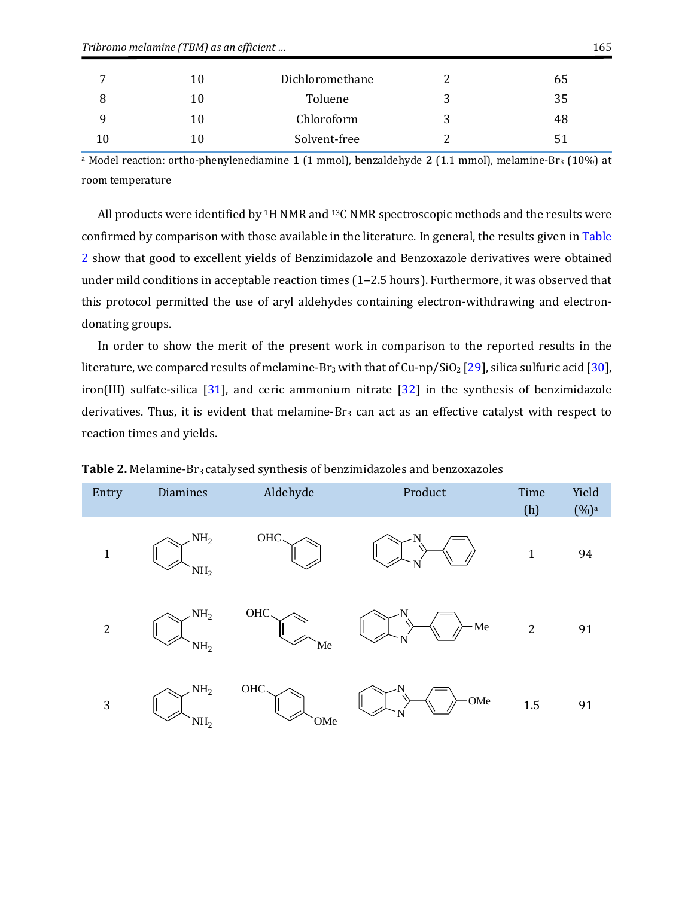|    | 10 | Dichloromethane | 65 |
|----|----|-----------------|----|
|    | 10 | Toluene         | 35 |
|    | 10 | Chloroform      | 48 |
| 10 |    | Solvent-free    | 51 |

<sup>a</sup> Model reaction: ortho‐phenylenediamine **1** (1 mmol), benzaldehyde **2** (1.1 mmol), melamine‐Br<sup>3</sup> (10%) at room temperature

All products were identified by <sup>1</sup>H NMR and <sup>13</sup>C NMR spectroscopic methods and the results were confirmed by comparison with those available in the literature. In general, the results given i[n Table](#page-5-0)  [2](#page-5-0) show that good to excellent yields of Benzimidazole and Benzoxazole derivatives were obtained under mild conditions in acceptable reaction times (1-2.5 hours). Furthermore, it was observed that this protocol permitted the use of aryl aldehydes containing electron-withdrawing and electrondonating groups.

In order to show the merit of the present work in comparison to the reported results in the literature, we compared results of melamine-Br<sub>3</sub> with that of Cu-np/SiO<sub>2</sub> [\[29\]](#page-10-6), silica sulfuric acid [\[30\]](#page-10-7), iron(III) sulfate-silica [\[31\]](#page-10-8), and ceric ammonium nitrate [\[32\]](#page-10-9) in the synthesis of benzimidazole derivatives. Thus, it is evident that melamine- $Br_3$  can act as an effective catalyst with respect to reaction times and yields.

| Entry        | <b>Diamines</b>                    | Aldehyde                | Product | Time<br>(h)  | Yield<br>$(%)^a$ |
|--------------|------------------------------------|-------------------------|---------|--------------|------------------|
| $\mathbf{1}$ | NH <sub>2</sub><br>NH <sub>2</sub> | OHC.                    | ΙN      | $\mathbf{1}$ | 94               |
| $\sqrt{2}$   | NH <sub>2</sub><br>NH <sub>2</sub> | $_{\mathrm{OHC}}$<br>Me | Me<br>N | $\mathbf{2}$ | 91               |
| $\mathbf{3}$ | NH <sub>2</sub><br>NH <sub>2</sub> | OHC.<br>OMe             | OMe     | 1.5          | 91               |

<span id="page-5-0"></span>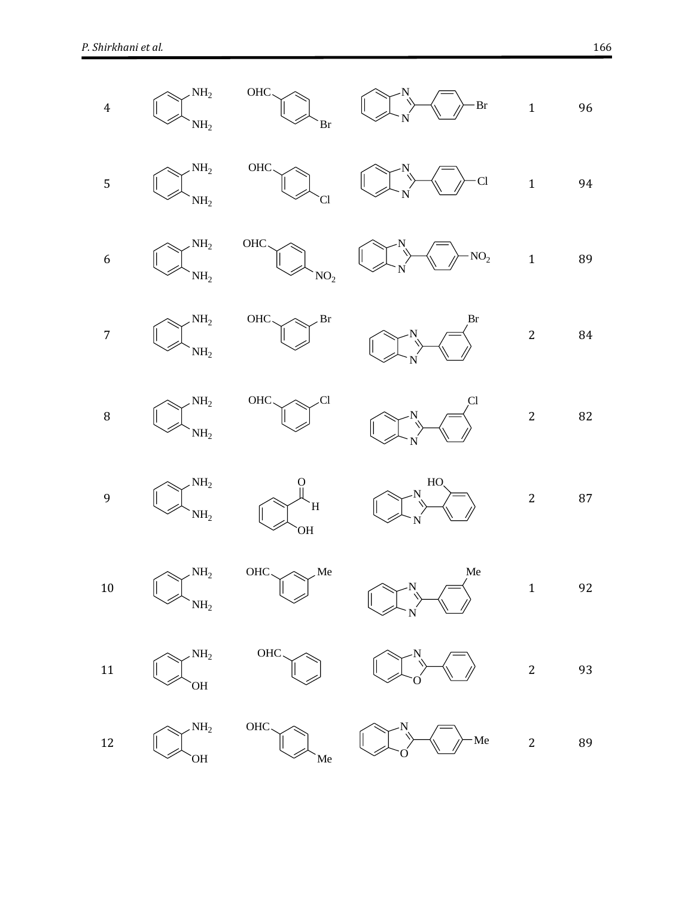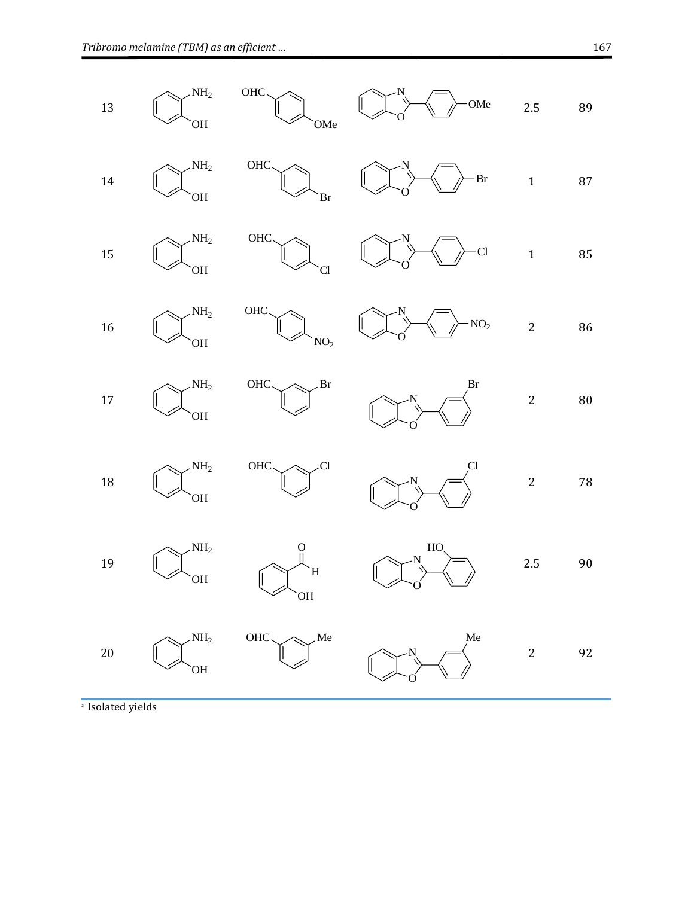

a Isolated yields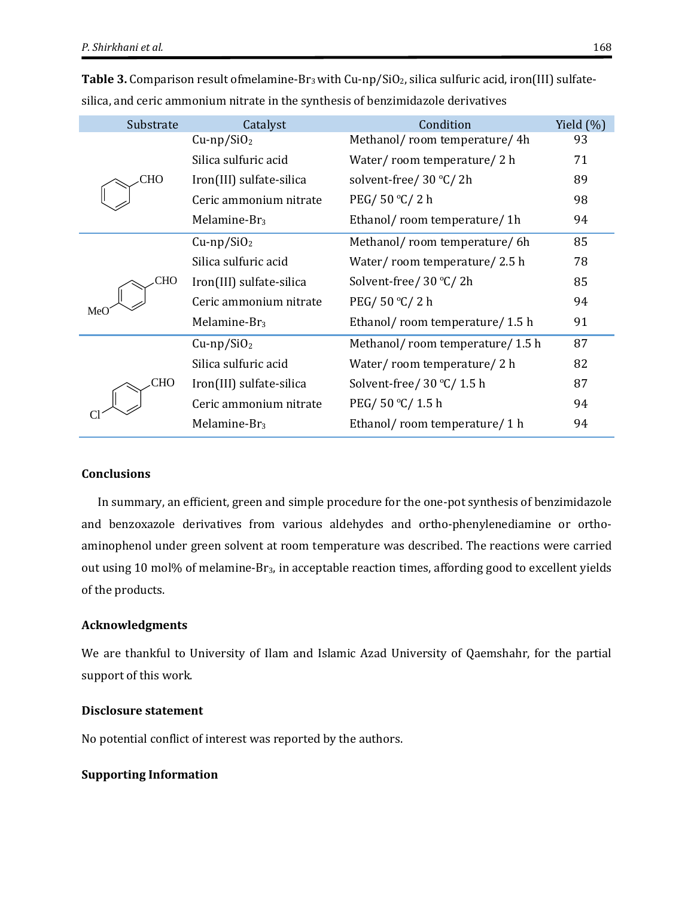| Substrate | Catalyst                  | Condition                       | Yield $(\%)$ |
|-----------|---------------------------|---------------------------------|--------------|
|           | $Cu$ -np/SiO <sub>2</sub> | Methanol/room temperature/4h    | 93           |
|           | Silica sulfuric acid      | Water/room temperature/2 h      | 71           |
| CHO       | Iron(III) sulfate-silica  | solvent-free/ 30 °C/ 2h         | 89           |
|           | Ceric ammonium nitrate    | PEG/50 ℃/2 h                    | 98           |
|           | Melamine-Br <sub>3</sub>  | Ethanol/room temperature/1h     | 94           |
|           | $Cu$ -np/SiO <sub>2</sub> | Methanol/room temperature/6h    | 85           |
|           | Silica sulfuric acid      | Water/room temperature/2.5 h    | 78           |
| CHO       | Iron(III) sulfate-silica  | Solvent-free/ 30 °C/ 2h         | 85           |
| MeO       | Ceric ammonium nitrate    | PEG/50 ℃/2 h                    | 94           |
|           | Melamine-Br <sub>3</sub>  | Ethanol/room temperature/1.5 h  | 91           |
|           | $Cu$ -np/SiO <sub>2</sub> | Methanol/room temperature/1.5 h | 87           |
|           | Silica sulfuric acid      | Water/room temperature/2 h      | 82           |
| CHO       | Iron(III) sulfate-silica  | Solvent-free/ $30 °C/ 1.5 h$    | 87           |
|           | Ceric ammonium nitrate    | PEG/50 °C/1.5 h                 | 94           |
|           | Melamine-Br <sub>3</sub>  | Ethanol/room temperature/1 h    | 94           |

Table 3. Comparison result ofmelamine-Br<sub>3</sub> with Cu-np/SiO<sub>2</sub>, silica sulfuric acid, iron(III) sulfatesilica, and ceric ammonium nitrate in the synthesis of benzimidazole derivatives

### **Conclusions**

In summary, an efficient, green and simple procedure for the one-pot synthesis of benzimidazole and benzoxazole derivatives from various aldehydes and ortho-phenylenediamine or orthoaminophenol under green solvent at room temperature was described. The reactions were carried out using 10 mol% of melamine‐Br3, in acceptable reaction times, affording good to excellent yields of the products.

#### **Acknowledgments**

We are thankful to University of Ilam and Islamic Azad University of Qaemshahr, for the partial support of this work.

#### **Disclosure statement**

No potential conflict of interest was reported by the authors.

#### **Supporting Information**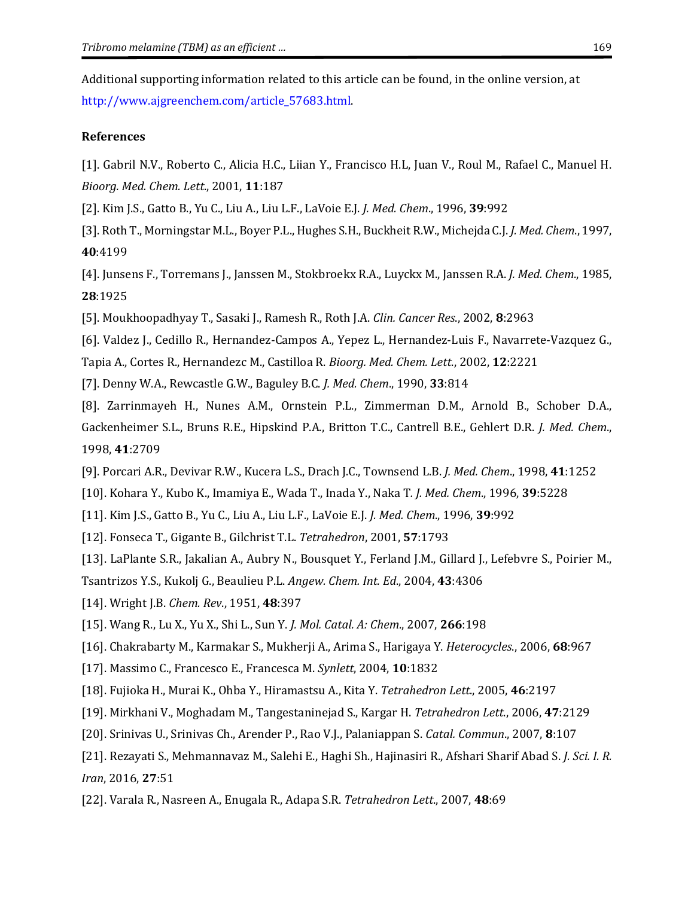Additional supporting information related to this article can be found, in the online version, at [http://www.ajgreenchem.com/article\\_57683.html.](http://www.ajgreenchem.com/article_57683.html)

#### **References**

<span id="page-9-0"></span>[1]. Gabril N.V., Roberto C., Alicia H.C., Liian Y., Francisco H.L, Juan V., Roul M., Rafael C., Manuel H. *Bioorg. Med. Chem. Lett*., 2001, **11**:187

<span id="page-9-1"></span>[2]. Kim J.S., Gatto B., Yu C., Liu A., Liu L.F., LaVoie E.J. *J. Med. Chem*., 1996, **39**:992

<span id="page-9-2"></span>[3]. Roth T., Morningstar M.L., Boyer P.L., Hughes S.H., Buckheit R.W., Michejda C.J. *J. Med. Chem*., 1997, **40**:4199

<span id="page-9-3"></span>[4]. Junsens F., Torremans J., Janssen M., Stokbroekx R.A., Luyckx M., Janssen R.A. *J. Med. Chem*., 1985, **28**:1925

<span id="page-9-4"></span>[5]. Moukhoopadhyay T., Sasaki J., Ramesh R., Roth J.A. *Clin. Cancer Res*., 2002, **8**:2963

<span id="page-9-5"></span>[6]. Valdez J., Cedillo R., Hernandez-Campos A., Yepez L., Hernandez-Luis F., Navarrete-Vazquez G.,

Tapia A., Cortes R., Hernandezc M., Castilloa R. *Bioorg. Med. Chem. Lett*., 2002, **12**:2221

<span id="page-9-6"></span>[7]. Denny W.A., Rewcastle G.W., Baguley B.C. *J. Med. Chem*., 1990, **33**:814

<span id="page-9-7"></span>[8]. Zarrinmayeh H., Nunes A.M., Ornstein P.L., Zimmerman D.M., Arnold B., Schober D.A., Gackenheimer S.L., Bruns R.E., Hipskind P.A., Britton T.C., Cantrell B.E., Gehlert D.R. *J. Med. Chem*., 1998, **41**:2709

- <span id="page-9-8"></span>[9]. Porcari A.R., Devivar R.W., Kucera L.S., Drach J.C., Townsend L.B. *J. Med. Chem*., 1998, **41**:1252
- <span id="page-9-9"></span>[10]. Kohara Y., Kubo K., Imamiya E., Wada T., Inada Y., Naka T*. J. Med. Chem*., 1996, **39**:5228
- <span id="page-9-10"></span>[11]. Kim J.S., Gatto B., Yu C., Liu A., Liu L.F., LaVoie E.J. *J. Med. Chem*., 1996, **39**:992
- <span id="page-9-11"></span>[12]. Fonseca T., Gigante B., Gilchrist T.L. *Tetrahedron*, 2001, **57**:1793

<span id="page-9-12"></span>[13]. LaPlante S.R., Jakalian A., Aubry N., Bousquet Y., Ferland J.M., Gillard J., Lefebvre S., Poirier M.,

Tsantrizos Y.S., Kukolj G., Beaulieu P.L. *Angew. Chem. Int. Ed*., 2004, **43**:4306

- <span id="page-9-13"></span>[14]. Wright J.B. *Chem. Rev*., 1951, **48**:397
- <span id="page-9-14"></span>[15]. Wang R., Lu X., Yu X., Shi L., Sun Y. *J. Mol. Catal. A: Chem*., 2007, **266**:198

<span id="page-9-15"></span>[16]. Chakrabarty M., Karmakar S., Mukherji A., Arima S., Harigaya Y. *Heterocycles*., 2006, **68**:967

- <span id="page-9-16"></span>[17]. Massimo C., Francesco E., Francesca M. *Synlett*, 2004, **10**:1832
- <span id="page-9-17"></span>[18]. Fujioka H., Murai K., Ohba Y., Hiramastsu A., Kita Y. *Tetrahedron Lett*., 2005, **46**:2197
- <span id="page-9-18"></span>[19]. Mirkhani V., Moghadam M., Tangestaninejad S., Kargar H. *Tetrahedron Lett*., 2006, **47**:2129
- <span id="page-9-19"></span>[20]. Srinivas U., Srinivas Ch., Arender P., Rao V.J., Palaniappan S. *Catal. Commun*., 2007, **8**:107
- <span id="page-9-20"></span>[21]. Rezayati S., Mehmannavaz M., Salehi E., Haghi Sh., Hajinasiri R., Afshari Sharif Abad S. *J. Sci. I. R. Iran*, 2016, **27**:51
- <span id="page-9-21"></span>[22]. Varala R., Nasreen A., Enugala R., Adapa S.R. *Tetrahedron Lett*., 2007, **48**:69